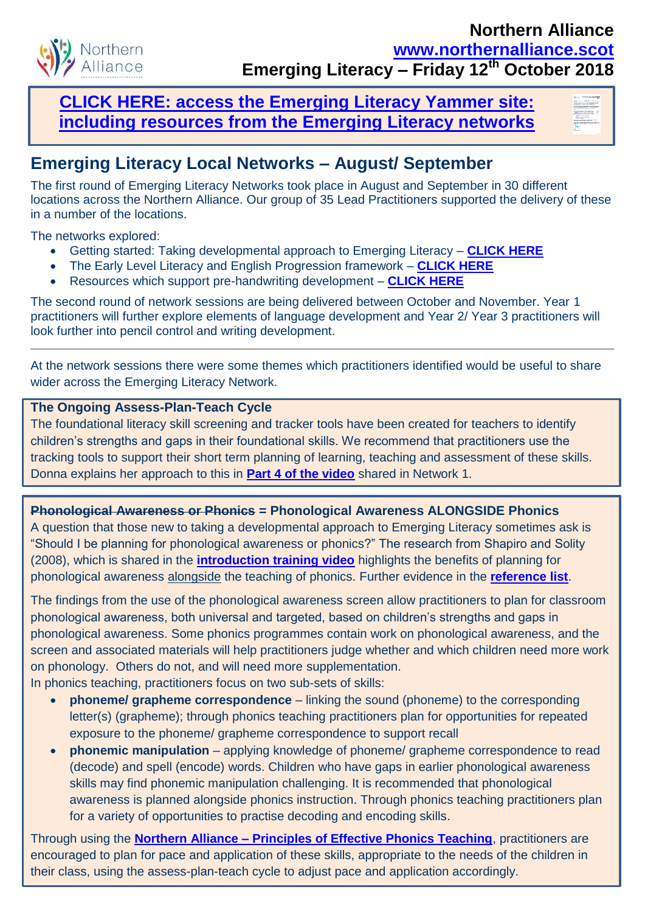

### **[CLICK HERE: access the Emerging Literacy Yammer site:](http://northernalliance.scot/wp-content/uploads/2017/10/Northern-Alliance-RAILLC-YAMMER-INFORMATION.pdf)  [including resources from the Emerging Literacy networks](http://northernalliance.scot/wp-content/uploads/2017/10/Northern-Alliance-RAILLC-YAMMER-INFORMATION.pdf)**



# **Emerging Literacy Local Networks – August/ September**

The first round of Emerging Literacy Networks took place in August and September in 30 different locations across the Northern Alliance. Our group of 35 Lead Practitioners supported the delivery of these in a number of the locations.

The networks explored:

- Getting started: Taking developmental approach to Emerging Literacy **[CLICK HERE](https://www.youtube.com/watch?v=0Bn2DpUOPw0)**
- The Early Level Literacy and English Progression framework **[CLICK HERE](https://highlandliteracy.com/early-level-progression-august-2018/)**
- Resources which support pre-handwriting development **[CLICK HERE](https://highlandliteracy.com/emerging-literacy-handwriting-foundations-and-building-blocks/)**

The second round of network sessions are being delivered between October and November. Year 1 practitioners will further explore elements of language development and Year 2/ Year 3 practitioners will look further into pencil control and writing development.

At the network sessions there were some themes which practitioners identified would be useful to share wider across the Emerging Literacy Network.

#### **The Ongoing Assess-Plan-Teach Cycle**

The foundational literacy skill screening and tracker tools have been created for teachers to identify children's strengths and gaps in their foundational skills. We recommend that practitioners use the tracking tools to support their short term planning of learning, teaching and assessment of these skills. Donna explains her approach to this in **[Part 4 of the video](https://www.youtube.com/watch?v=ilVSZtSI94U)** shared in Network 1.

#### **Phonological Awareness or Phonics = Phonological Awareness ALONGSIDE Phonics**

A question that those new to taking a developmental approach to Emerging Literacy sometimes ask is "Should I be planning for phonological awareness or phonics?" The research from Shapiro and Solity (2008), which is shared in the **[introduction training video](https://www.youtube.com/watch?v=Gw0hn3OHnIY)** highlights the benefits of planning for phonological awareness alongside the teaching of phonics. Further evidence in the **[reference list](https://highlandliteracy.files.wordpress.com/2017/07/practiceguidanceresearch.pdf)**.

The findings from the use of the phonological awareness screen allow practitioners to plan for classroom phonological awareness, both universal and targeted, based on children's strengths and gaps in phonological awareness. Some phonics programmes contain work on phonological awareness, and the screen and associated materials will help practitioners judge whether and which children need more work on phonology. Others do not, and will need more supplementation. In phonics teaching, practitioners focus on two sub-sets of skills:

- **phoneme/ grapheme correspondence** linking the sound (phoneme) to the corresponding letter(s) (grapheme); through phonics teaching practitioners plan for opportunities for repeated exposure to the phoneme/ grapheme correspondence to support recall
- **phonemic manipulation** applying knowledge of phoneme/ grapheme correspondence to read (decode) and spell (encode) words. Children who have gaps in earlier phonological awareness skills may find phonemic manipulation challenging. It is recommended that phonological awareness is planned alongside phonics instruction. Through phonics teaching practitioners plan for a variety of opportunities to practise decoding and encoding skills.

Through using the **Northern Alliance – [Principles of Effective Phonics Teaching](https://highlandliteracy.com/northern-alliance-principles-of-effective-phonics-teaching/)**, practitioners are encouraged to plan for pace and application of these skills, appropriate to the needs of the children in their class, using the assess-plan-teach cycle to adjust pace and application accordingly.